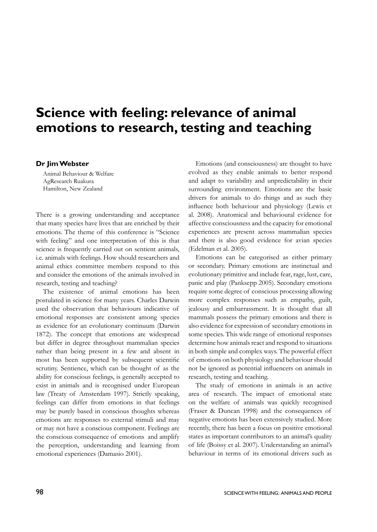## **Science with feeling: relevance of animal emotions to research, testing and teaching**

## **Dr Jim Webster**

Animal Behaviour & Welfare AgResearch Ruakura Hamilton, New Zealand

There is a growing understanding and acceptance that many species have lives that are enriched by their emotions. The theme of this conference is "Science with feeling" and one interpretation of this is that science is frequently carried out on sentient animals, i.e. animals with feelings. How should researchers and animal ethics committee members respond to this and consider the emotions of the animals involved in research, testing and teaching?

The existence of animal emotions has been postulated in science for many years. Charles Darwin used the observation that behaviours indicative of emotional responses are consistent among species as evidence for an evolutionary continuum (Darwin 1872). The concept that emotions are widespread but differ in degree throughout mammalian species rather than being present in a few and absent in most has been supported by subsequent scientific scrutiny. Sentience, which can be thought of as the ability for conscious feelings, is generally accepted to exist in animals and is recognised under European law (Treaty of Amsterdam 1997). Strictly speaking, feelings can differ from emotions in that feelings may be purely based in conscious thoughts whereas emotions are responses to external stimuli and may or may not have a conscious component. Feelings are the conscious consequence of emotions and amplify the perception, understanding and learning from emotional experiences (Damasio 2001).

Emotions (and consciousness) are thought to have evolved as they enable animals to better respond and adapt to variability and unpredictability in their surrounding environment. Emotions are the basic drivers for animals to do things and as such they influence both behaviour and physiology (Lewis et al. 2008). Anatomical and behavioural evidence for affective consciousness and the capacity for emotional experiences are present across mammalian species and there is also good evidence for avian species (Edelman et al. 2005).

Emotions can be categorised as either primary or secondary. Primary emotions are instinctual and evolutionary primitive and include fear, rage, lust, care, panic and play (Panksepp 2005). Secondary emotions require some degree of conscious processing allowing more complex responses such as empathy, guilt, jealousy and embarrassment. It is thought that all mammals possess the primary emotions and there is also evidence for expression of secondary emotions in some species. This wide range of emotional responses determine how animals react and respond to situations in both simple and complex ways. The powerful effect of emotions on both physiology and behaviour should not be ignored as potential influencers on animals in research, testing and teaching.

The study of emotions in animals is an active area of research. The impact of emotional state on the welfare of animals was quickly recognised (Fraser & Duncan 1998) and the consequences of negative emotions has been extensively studied. More recently, there has been a focus on positive emotional states as important contributors to an animal's quality of life (Boissy et al. 2007). Understanding an animal's behaviour in terms of its emotional drivers such as